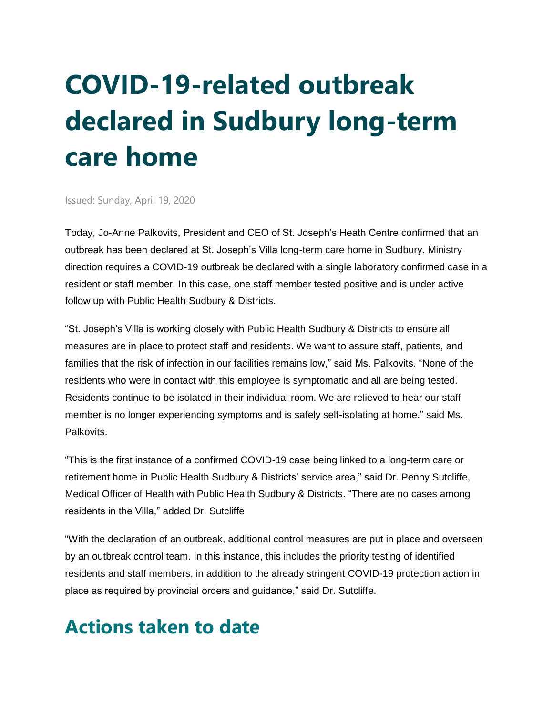## **COVID-19-related outbreak declared in Sudbury long-term care home**

Issued: Sunday, April 19, 2020

Today, Jo-Anne Palkovits, President and CEO of St. Joseph's Heath Centre confirmed that an outbreak has been declared at St. Joseph's Villa long-term care home in Sudbury. Ministry direction requires a COVID-19 outbreak be declared with a single laboratory confirmed case in a resident or staff member. In this case, one staff member tested positive and is under active follow up with Public Health Sudbury & Districts.

"St. Joseph's Villa is working closely with Public Health Sudbury & Districts to ensure all measures are in place to protect staff and residents. We want to assure staff, patients, and families that the risk of infection in our facilities remains low," said Ms. Palkovits. "None of the residents who were in contact with this employee is symptomatic and all are being tested. Residents continue to be isolated in their individual room. We are relieved to hear our staff member is no longer experiencing symptoms and is safely self-isolating at home," said Ms. Palkovits.

"This is the first instance of a confirmed COVID-19 case being linked to a long-term care or retirement home in Public Health Sudbury & Districts' service area," said Dr. Penny Sutcliffe, Medical Officer of Health with Public Health Sudbury & Districts. "There are no cases among residents in the Villa," added Dr. Sutcliffe

"With the declaration of an outbreak, additional control measures are put in place and overseen by an outbreak control team. In this instance, this includes the priority testing of identified residents and staff members, in addition to the already stringent COVID-19 protection action in place as required by provincial orders and guidance," said Dr. Sutcliffe.

## **Actions taken to date**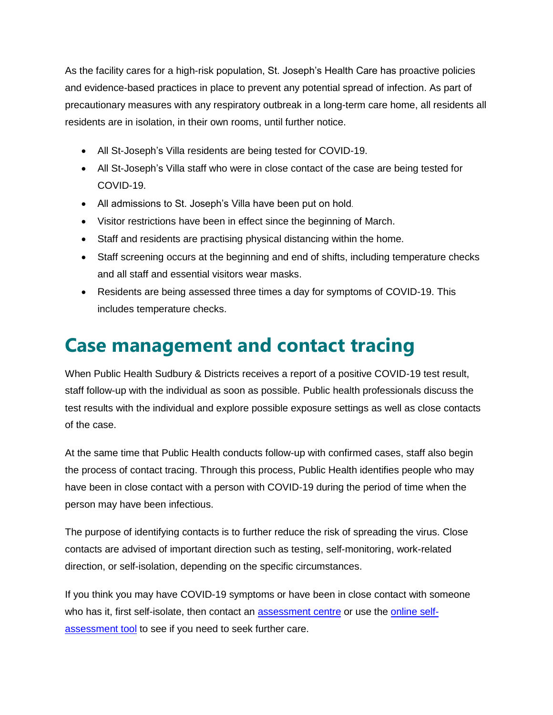As the facility cares for a high-risk population, St. Joseph's Health Care has proactive policies and evidence-based practices in place to prevent any potential spread of infection. As part of precautionary measures with any respiratory outbreak in a long-term care home, all residents all residents are in isolation, in their own rooms, until further notice.

- All St-Joseph's Villa residents are being tested for COVID-19.
- All St-Joseph's Villa staff who were in close contact of the case are being tested for COVID-19.
- All admissions to St. Joseph's Villa have been put on hold.
- Visitor restrictions have been in effect since the beginning of March.
- Staff and residents are practising physical distancing within the home.
- Staff screening occurs at the beginning and end of shifts, including temperature checks and all staff and essential visitors wear masks.
- Residents are being assessed three times a day for symptoms of COVID-19. This includes temperature checks.

## **Case management and contact tracing**

When Public Health Sudbury & Districts receives a report of a positive COVID-19 test result, staff follow-up with the individual as soon as possible. Public health professionals discuss the test results with the individual and explore possible exposure settings as well as close contacts of the case.

At the same time that Public Health conducts follow-up with confirmed cases, staff also begin the process of contact tracing. Through this process, Public Health identifies people who may have been in close contact with a person with COVID-19 during the period of time when the person may have been infectious.

The purpose of identifying contacts is to further reduce the risk of spreading the virus. Close contacts are advised of important direction such as testing, self-monitoring, work-related direction, or self-isolation, depending on the specific circumstances.

If you think you may have COVID-19 symptoms or have been in close contact with someone who has it, first self-isolate, then contact an [assessment centre](https://www.phsd.ca/health-topics-programs/diseases-infections/coronavirus#assessment) or use the [online self](https://www.phsd.ca/health-topics-programs/diseases-infections/coronavirus#onlineassessment)[assessment tool](https://www.phsd.ca/health-topics-programs/diseases-infections/coronavirus#onlineassessment) to see if you need to seek further care.